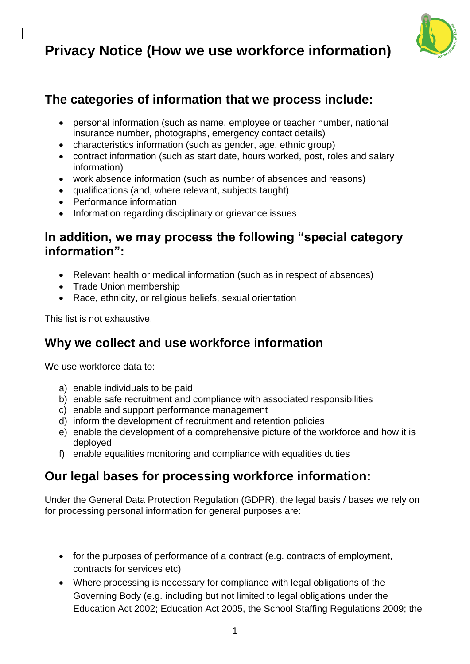# **Privacy Notice (How we use workforce information)**



# **The categories of information that we process include:**

- personal information (such as name, employee or teacher number, national insurance number, photographs, emergency contact details)
- characteristics information (such as gender, age, ethnic group)
- contract information (such as start date, hours worked, post, roles and salary information)
- work absence information (such as number of absences and reasons)
- qualifications (and, where relevant, subjects taught)
- Performance information
- Information regarding disciplinary or grievance issues

#### **In addition, we may process the following "special category information":**

- Relevant health or medical information (such as in respect of absences)
- Trade Union membership
- Race, ethnicity, or religious beliefs, sexual orientation

This list is not exhaustive.

### **Why we collect and use workforce information**

We use workforce data to:

- a) enable individuals to be paid
- b) enable safe recruitment and compliance with associated responsibilities
- c) enable and support performance management
- d) inform the development of recruitment and retention policies
- e) enable the development of a comprehensive picture of the workforce and how it is deployed
- f) enable equalities monitoring and compliance with equalities duties

### **Our legal bases for processing workforce information:**

Under the General Data Protection Regulation (GDPR), the legal basis / bases we rely on for processing personal information for general purposes are:

- for the purposes of performance of a contract (e.g. contracts of employment, contracts for services etc)
- Where processing is necessary for compliance with legal obligations of the Governing Body (e.g. including but not limited to legal obligations under the Education Act 2002; Education Act 2005, the School Staffing Regulations 2009; the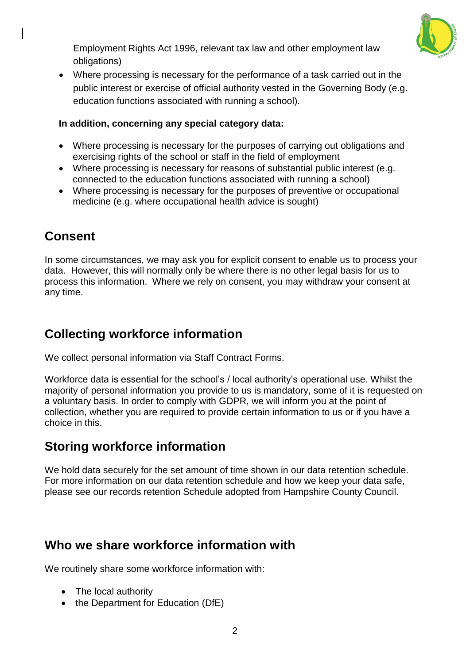

Employment Rights Act 1996, relevant tax law and other employment law obligations)

 Where processing is necessary for the performance of a task carried out in the public interest or exercise of official authority vested in the Governing Body (e.g. education functions associated with running a school).

#### **In addition, concerning any special category data:**

- Where processing is necessary for the purposes of carrying out obligations and exercising rights of the school or staff in the field of employment
- Where processing is necessary for reasons of substantial public interest (e.g. connected to the education functions associated with running a school)
- Where processing is necessary for the purposes of preventive or occupational medicine (e.g. where occupational health advice is sought)

### **Consent**

In some circumstances, we may ask you for explicit consent to enable us to process your data. However, this will normally only be where there is no other legal basis for us to process this information. Where we rely on consent, you may withdraw your consent at any time.

# **Collecting workforce information**

We collect personal information via Staff Contract Forms.

Workforce data is essential for the school's / local authority's operational use. Whilst the majority of personal information you provide to us is mandatory, some of it is requested on a voluntary basis. In order to comply with GDPR, we will inform you at the point of collection, whether you are required to provide certain information to us or if you have a choice in this.

# **Storing workforce information**

We hold data securely for the set amount of time shown in our data retention schedule. For more information on our data retention schedule and how we keep your data safe, please see our records retention Schedule adopted from Hampshire County Council.

# **Who we share workforce information with**

We routinely share some workforce information with:

- The local authority
- the Department for Education (DfE)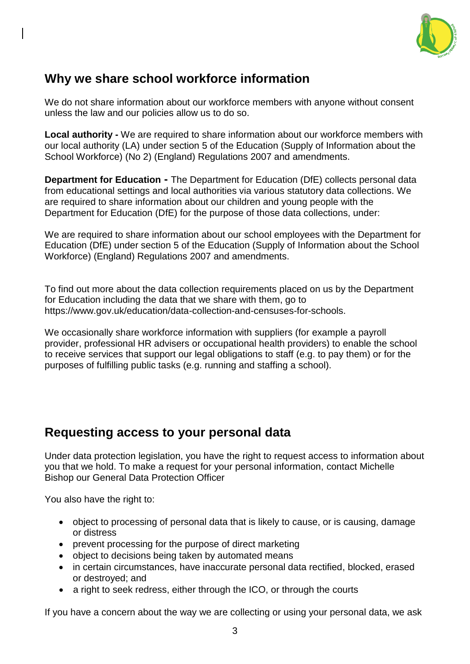

# **Why we share school workforce information**

We do not share information about our workforce members with anyone without consent unless the law and our policies allow us to do so.

**Local authority -** We are required to share information about our workforce members with our local authority (LA) under section 5 of the Education (Supply of Information about the School Workforce) (No 2) (England) Regulations 2007 and amendments.

**Department for Education -** The Department for Education (DfE) collects personal data from educational settings and local authorities via various statutory data collections. We are required to share information about our children and young people with the Department for Education (DfE) for the purpose of those data collections, under:

We are required to share information about our school employees with the Department for Education (DfE) under section 5 of the Education (Supply of Information about the School Workforce) (England) Regulations 2007 and amendments.

To find out more about the data collection requirements placed on us by the Department for Education including the data that we share with them, go to https://www.gov.uk/education/data-collection-and-censuses-for-schools.

We occasionally share workforce information with suppliers (for example a payroll provider, professional HR advisers or occupational health providers) to enable the school to receive services that support our legal obligations to staff (e.g. to pay them) or for the purposes of fulfilling public tasks (e.g. running and staffing a school).

### **Requesting access to your personal data**

Under data protection legislation, you have the right to request access to information about you that we hold. To make a request for your personal information, contact Michelle Bishop our General Data Protection Officer

You also have the right to:

- object to processing of personal data that is likely to cause, or is causing, damage or distress
- prevent processing for the purpose of direct marketing
- object to decisions being taken by automated means
- in certain circumstances, have inaccurate personal data rectified, blocked, erased or destroyed; and
- a right to seek redress, either through the ICO, or through the courts

If you have a concern about the way we are collecting or using your personal data, we ask